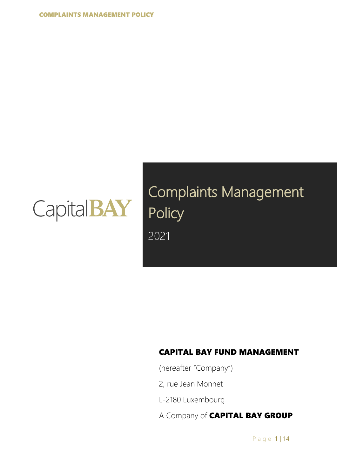

Complaints Management Policy 2021

### CAPITAL BAY FUND MANAGEMENT

(hereafter "Company")

- 2, rue Jean Monnet
- L-2180 Luxembourg
- A Company of CAPITAL BAY GROUP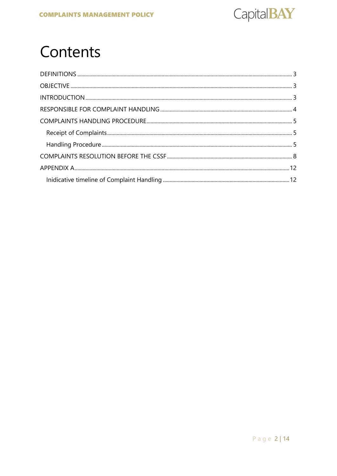

# Contents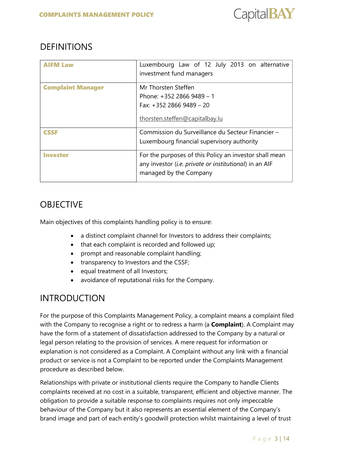

# <span id="page-2-0"></span>**DEFINITIONS**

|                          | Luxembourg Law of 12 July 2013 on alternative<br>investment fund managers                                                                  |  |
|--------------------------|--------------------------------------------------------------------------------------------------------------------------------------------|--|
| <b>Complaint Manager</b> | Mr Thorsten Steffen<br>Phone: +352 2866 9489 - 1<br>Fax: $+352$ 2866 9489 - 20<br>thorsten.steffen@capitalbay.lu                           |  |
| <b>CSSF</b>              | Commission du Surveillance du Secteur Financier -<br>Luxembourg financial supervisory authority                                            |  |
| <i><b>Investor</b></i>   | For the purposes of this Policy an investor shall mean<br>any investor (i.e. private or institutional) in an AIF<br>managed by the Company |  |

### <span id="page-2-1"></span>**OBJECTIVE**

Main objectives of this complaints handling policy is to ensure:

- a distinct complaint channel for Investors to address their complaints;
- that each complaint is recorded and followed up;
- prompt and reasonable complaint handling;
- transparency to Investors and the CSSF;
- equal treatment of all Investors;
- avoidance of reputational risks for the Company.

### <span id="page-2-2"></span>INTRODUCTION

For the purpose of this Complaints Management Policy, a complaint means a complaint filed with the Company to recognise a right or to redress a harm (a **Complaint**). A Complaint may have the form of a statement of dissatisfaction addressed to the Company by a natural or legal person relating to the provision of services. A mere request for information or explanation is not considered as a Complaint. A Complaint without any link with a financial product or service is not a Complaint to be reported under the Complaints Management procedure as described below.

Relationships with private or institutional clients require the Company to handle Clients complaints received at no cost in a suitable, transparent, efficient and objective manner. The obligation to provide a suitable response to complaints requires not only impeccable behaviour of the Company but it also represents an essential element of the Company's brand image and part of each entity's goodwill protection whilst maintaining a level of trust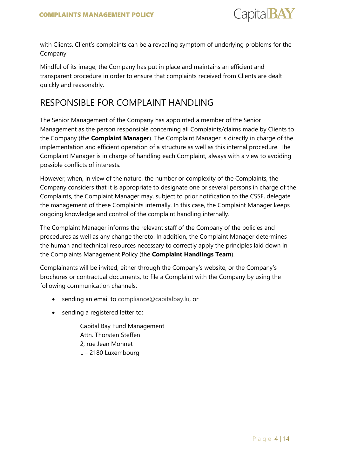

with Clients. Client's complaints can be a revealing symptom of underlying problems for the Company.

Mindful of its image, the Company has put in place and maintains an efficient and transparent procedure in order to ensure that complaints received from Clients are dealt quickly and reasonably.

### <span id="page-3-0"></span>RESPONSIBLE FOR COMPLAINT HANDLING

The Senior Management of the Company has appointed a member of the Senior Management as the person responsible concerning all Complaints/claims made by Clients to the Company (the **Complaint Manager**). The Complaint Manager is directly in charge of the implementation and efficient operation of a structure as well as this internal procedure. The Complaint Manager is in charge of handling each Complaint, always with a view to avoiding possible conflicts of interests.

However, when, in view of the nature, the number or complexity of the Complaints, the Company considers that it is appropriate to designate one or several persons in charge of the Complaints, the Complaint Manager may, subject to prior notification to the CSSF, delegate the management of these Complaints internally. In this case, the Complaint Manager keeps ongoing knowledge and control of the complaint handling internally.

The Complaint Manager informs the relevant staff of the Company of the policies and procedures as well as any change thereto. In addition, the Complaint Manager determines the human and technical resources necessary to correctly apply the principles laid down in the Complaints Management Policy (the **Complaint Handlings Team**).

Complainants will be invited, either through the Company's website, or the Company's brochures or contractual documents, to file a Complaint with the Company by using the following communication channels:

- sending an email to [compliance@capitalbay.lu,](mailto:compliance@capitalbay.lu) or
- sending a registered letter to:

Capital Bay Fund Management Attn. Thorsten Steffen 2, rue Jean Monnet L – 2180 Luxembourg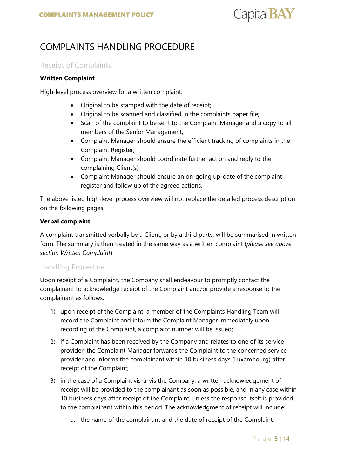

# <span id="page-4-0"></span>COMPLAINTS HANDLING PROCEDURE

#### <span id="page-4-1"></span>Receipt of Complaints

#### **Written Complaint**

High-level process overview for a written complaint:

- Original to be stamped with the date of receipt;
- Original to be scanned and classified in the complaints paper file;
- Scan of the complaint to be sent to the Complaint Manager and a copy to all members of the Senior Management;
- Complaint Manager should ensure the efficient tracking of complaints in the Complaint Register;
- Complaint Manager should coordinate further action and reply to the complaining Client(s);
- Complaint Manager should ensure an on-going up-date of the complaint register and follow up of the agreed actions.

The above listed high-level process overview will not replace the detailed process description on the following pages.

#### **Verbal complaint**

A complaint transmitted verbally by a Client, or by a third party, will be summarised in written form. The summary is then treated in the same way as a written complaint (*please see above section Written Complaint*).

#### <span id="page-4-2"></span>Handling Procedure

Upon receipt of a Complaint, the Company shall endeavour to promptly contact the complainant to acknowledge receipt of the Complaint and/or provide a response to the complainant as follows:

- 1) upon receipt of the Complaint, a member of the Complaints Handling Team will record the Complaint and inform the Complaint Manager immediately upon recording of the Complaint, a complaint number will be issued;
- 2) if a Complaint has been received by the Company and relates to one of its service provider, the Complaint Manager forwards the Complaint to the concerned service provider and informs the complainant within 10 business days (Luxembourg) after receipt of the Complaint;
- 3) in the case of a Complaint vis-à-vis the Company, a written acknowledgement of receipt will be provided to the complainant as soon as possible, and in any case within 10 business days after receipt of the Complaint, unless the response itself is provided to the complainant within this period. The acknowledgment of receipt will include:
	- a. the name of the complainant and the date of receipt of the Complaint;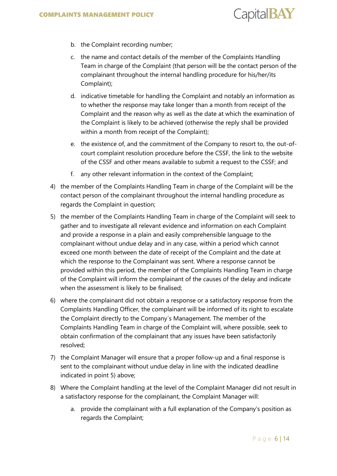

- b. the Complaint recording number;
- c. the name and contact details of the member of the Complaints Handling Team in charge of the Complaint (that person will be the contact person of the complainant throughout the internal handling procedure for his/her/its Complaint);
- d. indicative timetable for handling the Complaint and notably an information as to whether the response may take longer than a month from receipt of the Complaint and the reason why as well as the date at which the examination of the Complaint is likely to be achieved (otherwise the reply shall be provided within a month from receipt of the Complaint);
- e. the existence of, and the commitment of the Company to resort to, the out-ofcourt complaint resolution procedure before the CSSF, the link to the website of the CSSF and other means available to submit a request to the CSSF; and
- f. any other relevant information in the context of the Complaint;
- 4) the member of the Complaints Handling Team in charge of the Complaint will be the contact person of the complainant throughout the internal handling procedure as regards the Complaint in question;
- 5) the member of the Complaints Handling Team in charge of the Complaint will seek to gather and to investigate all relevant evidence and information on each Complaint and provide a response in a plain and easily comprehensible language to the complainant without undue delay and in any case, within a period which cannot exceed one month between the date of receipt of the Complaint and the date at which the response to the Complainant was sent. Where a response cannot be provided within this period, the member of the Complaints Handling Team in charge of the Complaint will inform the complainant of the causes of the delay and indicate when the assessment is likely to be finalised;
- 6) where the complainant did not obtain a response or a satisfactory response from the Complaints Handling Officer, the complainant will be informed of its right to escalate the Complaint directly to the Company´s Management. The member of the Complaints Handling Team in charge of the Complaint will, where possible, seek to obtain confirmation of the complainant that any issues have been satisfactorily resolved;
- 7) the Complaint Manager will ensure that a proper follow-up and a final response is sent to the complainant without undue delay in line with the indicated deadline indicated in point 5) above;
- 8) Where the Complaint handling at the level of the Complaint Manager did not result in a satisfactory response for the complainant, the Complaint Manager will:
	- a. provide the complainant with a full explanation of the Company's position as regards the Complaint;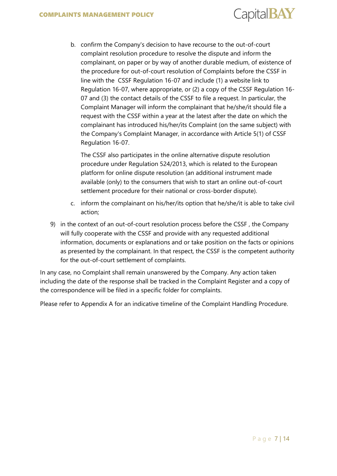

b. confirm the Company's decision to have recourse to the out-of-court complaint resolution procedure to resolve the dispute and inform the complainant, on paper or by way of another durable medium, of existence of the procedure for out-of-court resolution of Complaints before the CSSF in line with the CSSF Regulation 16-07 and include (1) a website link to Regulation 16-07, where appropriate, or (2) a copy of the CSSF Regulation 16- 07 and (3) the contact details of the CSSF to file a request. In particular, the Complaint Manager will inform the complainant that he/she/it should file a request with the CSSF within a year at the latest after the date on which the complainant has introduced his/her/its Complaint (on the same subject) with the Company's Complaint Manager, in accordance with Article 5(1) of CSSF Regulation 16-07.

The CSSF also participates in the online alternative dispute resolution procedure under Regulation 524/2013, which is related to the European platform for online dispute resolution (an additional instrument made available (only) to the consumers that wish to start an online out-of-court settlement procedure for their national or cross-border dispute).

- c. inform the complainant on his/her/its option that he/she/it is able to take civil action;
- 9) in the context of an out-of-court resolution process before the CSSF , the Company will fully cooperate with the CSSF and provide with any requested additional information, documents or explanations and or take position on the facts or opinions as presented by the complainant. In that respect, the CSSF is the competent authority for the out-of-court settlement of complaints.

In any case, no Complaint shall remain unanswered by the Company. Any action taken including the date of the response shall be tracked in the Complaint Register and a copy of the correspondence will be filed in a specific folder for complaints.

Please refer to Appendix A for an indicative timeline of the Complaint Handling Procedure.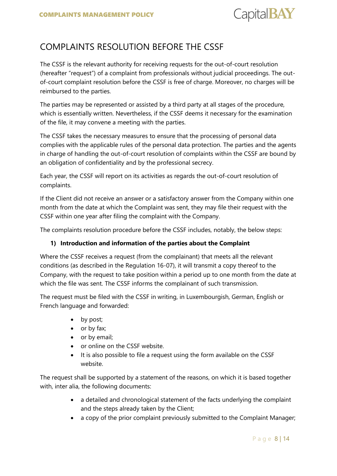

# <span id="page-7-0"></span>COMPLAINTS RESOLUTION BEFORE THE CSSF

The CSSF is the relevant authority for receiving requests for the out-of-court resolution (hereafter "request") of a complaint from professionals without judicial proceedings. The outof-court complaint resolution before the CSSF is free of charge. Moreover, no charges will be reimbursed to the parties.

The parties may be represented or assisted by a third party at all stages of the procedure, which is essentially written. Nevertheless, if the CSSF deems it necessary for the examination of the file, it may convene a meeting with the parties.

The CSSF takes the necessary measures to ensure that the processing of personal data complies with the applicable rules of the personal data protection. The parties and the agents in charge of handling the out-of-court resolution of complaints within the CSSF are bound by an obligation of confidentiality and by the professional secrecy.

Each year, the CSSF will report on its activities as regards the out-of-court resolution of complaints.

If the Client did not receive an answer or a satisfactory answer from the Company within one month from the date at which the Complaint was sent, they may file their request with the CSSF within one year after filing the complaint with the Company.

The complaints resolution procedure before the CSSF includes, notably, the below steps:

#### **1) Introduction and information of the parties about the Complaint**

Where the CSSF receives a request (from the complainant) that meets all the relevant conditions (as described in the Regulation 16-07), it will transmit a copy thereof to the Company, with the request to take position within a period up to one month from the date at which the file was sent. The CSSF informs the complainant of such transmission.

The request must be filed with the CSSF in writing, in Luxembourgish, German, English or French language and forwarded:

- by post;
- or by fax;
- or by email;
- or online on the CSSF website.
- It is also possible to file a request using the form available on the CSSF website.

The request shall be supported by a statement of the reasons, on which it is based together with, inter alia, the following documents:

- a detailed and chronological statement of the facts underlying the complaint and the steps already taken by the Client;
- a copy of the prior complaint previously submitted to the Complaint Manager;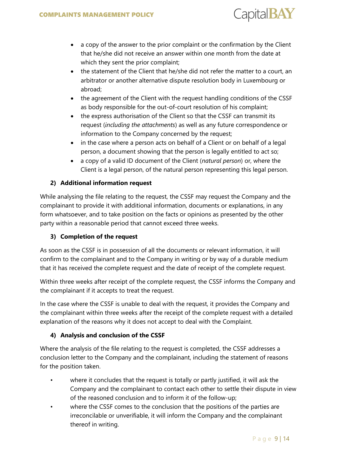

- a copy of the answer to the prior complaint or the confirmation by the Client that he/she did not receive an answer within one month from the date at which they sent the prior complaint;
- the statement of the Client that he/she did not refer the matter to a court, an arbitrator or another alternative dispute resolution body in Luxembourg or abroad;
- the agreement of the Client with the request handling conditions of the CSSF as body responsible for the out-of-court resolution of his complaint;
- the express authorisation of the Client so that the CSSF can transmit its request (*including the attachments*) as well as any future correspondence or information to the Company concerned by the request;
- in the case where a person acts on behalf of a Client or on behalf of a legal person, a document showing that the person is legally entitled to act so;
- a copy of a valid ID document of the Client (*natural person*) or, where the Client is a legal person, of the natural person representing this legal person.

#### **2) Additional information request**

While analysing the file relating to the request, the CSSF may request the Company and the complainant to provide it with additional information, documents or explanations, in any form whatsoever, and to take position on the facts or opinions as presented by the other party within a reasonable period that cannot exceed three weeks.

#### **3) Completion of the request**

As soon as the CSSF is in possession of all the documents or relevant information, it will confirm to the complainant and to the Company in writing or by way of a durable medium that it has received the complete request and the date of receipt of the complete request.

Within three weeks after receipt of the complete request, the CSSF informs the Company and the complainant if it accepts to treat the request.

In the case where the CSSF is unable to deal with the request, it provides the Company and the complainant within three weeks after the receipt of the complete request with a detailed explanation of the reasons why it does not accept to deal with the Complaint.

#### **4) Analysis and conclusion of the CSSF**

Where the analysis of the file relating to the request is completed, the CSSF addresses a conclusion letter to the Company and the complainant, including the statement of reasons for the position taken.

- where it concludes that the request is totally or partly justified, it will ask the Company and the complainant to contact each other to settle their dispute in view of the reasoned conclusion and to inform it of the follow-up;
- where the CSSF comes to the conclusion that the positions of the parties are irreconcilable or unverifiable, it will inform the Company and the complainant thereof in writing.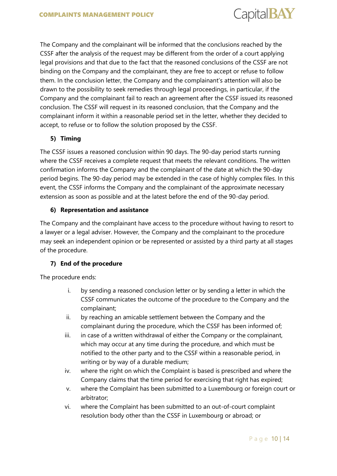

The Company and the complainant will be informed that the conclusions reached by the CSSF after the analysis of the request may be different from the order of a court applying legal provisions and that due to the fact that the reasoned conclusions of the CSSF are not binding on the Company and the complainant, they are free to accept or refuse to follow them. In the conclusion letter, the Company and the complainant's attention will also be drawn to the possibility to seek remedies through legal proceedings, in particular, if the Company and the complainant fail to reach an agreement after the CSSF issued its reasoned conclusion. The CSSF will request in its reasoned conclusion, that the Company and the complainant inform it within a reasonable period set in the letter, whether they decided to accept, to refuse or to follow the solution proposed by the CSSF.

#### **5) Timing**

The CSSF issues a reasoned conclusion within 90 days. The 90-day period starts running where the CSSF receives a complete request that meets the relevant conditions. The written confirmation informs the Company and the complainant of the date at which the 90-day period begins. The 90-day period may be extended in the case of highly complex files. In this event, the CSSF informs the Company and the complainant of the approximate necessary extension as soon as possible and at the latest before the end of the 90-day period.

#### **6) Representation and assistance**

The Company and the complainant have access to the procedure without having to resort to a lawyer or a legal adviser. However, the Company and the complainant to the procedure may seek an independent opinion or be represented or assisted by a third party at all stages of the procedure.

#### **7) End of the procedure**

The procedure ends:

- i. by sending a reasoned conclusion letter or by sending a letter in which the CSSF communicates the outcome of the procedure to the Company and the complainant;
- ii. by reaching an amicable settlement between the Company and the complainant during the procedure, which the CSSF has been informed of;
- iii. in case of a written withdrawal of either the Company or the complainant, which may occur at any time during the procedure, and which must be notified to the other party and to the CSSF within a reasonable period, in writing or by way of a durable medium;
- iv. where the right on which the Complaint is based is prescribed and where the Company claims that the time period for exercising that right has expired;
- v. where the Complaint has been submitted to a Luxembourg or foreign court or arbitrator;
- vi. where the Complaint has been submitted to an out-of-court complaint resolution body other than the CSSF in Luxembourg or abroad; or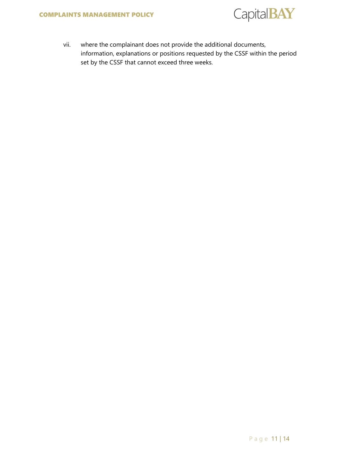

vii. where the complainant does not provide the additional documents, information, explanations or positions requested by the CSSF within the period set by the CSSF that cannot exceed three weeks.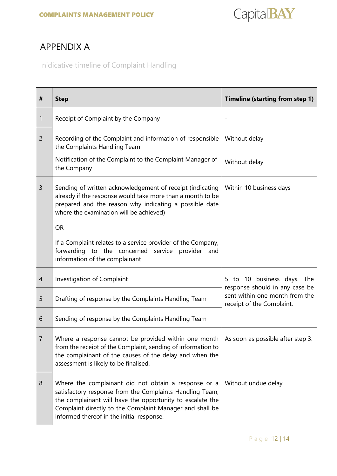

# <span id="page-11-0"></span>APPENDIX A

<span id="page-11-1"></span>Inidicative timeline of Complaint Handling

| #              | <b>Step</b>                                                                                                                                                                                                                                                                            | Timeline (starting from step 1)                                                                                                 |  |
|----------------|----------------------------------------------------------------------------------------------------------------------------------------------------------------------------------------------------------------------------------------------------------------------------------------|---------------------------------------------------------------------------------------------------------------------------------|--|
| 1              | Receipt of Complaint by the Company                                                                                                                                                                                                                                                    |                                                                                                                                 |  |
| $\overline{2}$ | Recording of the Complaint and information of responsible<br>the Complaints Handling Team                                                                                                                                                                                              | Without delay                                                                                                                   |  |
|                | Notification of the Complaint to the Complaint Manager of<br>the Company                                                                                                                                                                                                               | Without delay                                                                                                                   |  |
| 3              | Sending of written acknowledgement of receipt (indicating<br>already if the response would take more than a month to be<br>prepared and the reason why indicating a possible date<br>where the examination will be achieved)                                                           | Within 10 business days                                                                                                         |  |
|                | <b>OR</b>                                                                                                                                                                                                                                                                              |                                                                                                                                 |  |
|                | If a Complaint relates to a service provider of the Company,<br>forwarding<br>to the concerned service provider and<br>information of the complainant                                                                                                                                  |                                                                                                                                 |  |
| $\overline{4}$ | Investigation of Complaint                                                                                                                                                                                                                                                             | to 10 business days. The<br>5.<br>response should in any case be<br>sent within one month from the<br>receipt of the Complaint. |  |
| 5              | Drafting of response by the Complaints Handling Team                                                                                                                                                                                                                                   |                                                                                                                                 |  |
| 6              | Sending of response by the Complaints Handling Team                                                                                                                                                                                                                                    |                                                                                                                                 |  |
| 7              | Where a response cannot be provided within one month $\vert$ As soon as possible after step 3.<br>from the receipt of the Complaint, sending of information to<br>the complainant of the causes of the delay and when the<br>assessment is likely to be finalised.                     |                                                                                                                                 |  |
| 8              | Where the complainant did not obtain a response or a<br>satisfactory response from the Complaints Handling Team,<br>the complainant will have the opportunity to escalate the<br>Complaint directly to the Complaint Manager and shall be<br>informed thereof in the initial response. | Without undue delay                                                                                                             |  |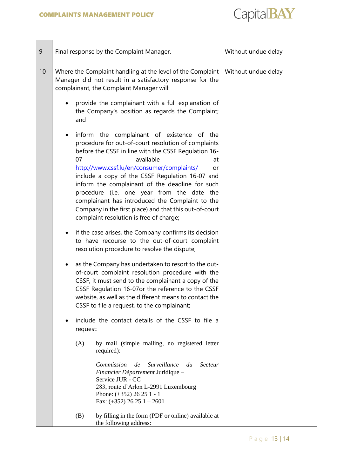

| 9  | Final response by the Complaint Manager.                                                                                                                                                                                                                                                                                                  |                                                                                                                                                                                                                                                                                                                                                                                                                                                                                                                                              | Without undue delay |
|----|-------------------------------------------------------------------------------------------------------------------------------------------------------------------------------------------------------------------------------------------------------------------------------------------------------------------------------------------|----------------------------------------------------------------------------------------------------------------------------------------------------------------------------------------------------------------------------------------------------------------------------------------------------------------------------------------------------------------------------------------------------------------------------------------------------------------------------------------------------------------------------------------------|---------------------|
| 10 | Where the Complaint handling at the level of the Complaint<br>Manager did not result in a satisfactory response for the<br>complainant, the Complaint Manager will:                                                                                                                                                                       |                                                                                                                                                                                                                                                                                                                                                                                                                                                                                                                                              | Without undue delay |
|    | and                                                                                                                                                                                                                                                                                                                                       | provide the complainant with a full explanation of<br>the Company's position as regards the Complaint;                                                                                                                                                                                                                                                                                                                                                                                                                                       |                     |
|    | $\bullet$<br>07                                                                                                                                                                                                                                                                                                                           | inform the complainant of existence of the<br>procedure for out-of-court resolution of complaints<br>before the CSSF in line with the CSSF Regulation 16-<br>available<br>at<br>http://www.cssf.lu/en/consumer/complaints/<br>or<br>include a copy of the CSSF Regulation 16-07 and<br>inform the complainant of the deadline for such<br>procedure (i.e. one year from the date the<br>complainant has introduced the Complaint to the<br>Company in the first place) and that this out-of-court<br>complaint resolution is free of charge; |                     |
|    | if the case arises, the Company confirms its decision<br>$\bullet$<br>to have recourse to the out-of-court complaint<br>resolution procedure to resolve the dispute;                                                                                                                                                                      |                                                                                                                                                                                                                                                                                                                                                                                                                                                                                                                                              |                     |
|    | as the Company has undertaken to resort to the out-<br>$\bullet$<br>of-court complaint resolution procedure with the<br>CSSF, it must send to the complainant a copy of the<br>CSSF Regulation 16-07or the reference to the CSSF<br>website, as well as the different means to contact the<br>CSSF to file a request, to the complainant; |                                                                                                                                                                                                                                                                                                                                                                                                                                                                                                                                              |                     |
|    | include the contact details of the CSSF to file a<br>request:                                                                                                                                                                                                                                                                             |                                                                                                                                                                                                                                                                                                                                                                                                                                                                                                                                              |                     |
|    | (A)<br>required):                                                                                                                                                                                                                                                                                                                         | by mail (simple mailing, no registered letter                                                                                                                                                                                                                                                                                                                                                                                                                                                                                                |                     |
|    | Commission<br>Service JUR - CC                                                                                                                                                                                                                                                                                                            | <i>Surveillance</i><br><b>Secteur</b><br>de<br>du<br>Financier Département Juridique -<br>283, route d'Arlon L-2991 Luxembourg<br>Phone: $(+352)$ 26 25 1 - 1<br>Fax: $(+352)$ 26 25 1 - 2601                                                                                                                                                                                                                                                                                                                                                |                     |
|    | (B)<br>the following address:                                                                                                                                                                                                                                                                                                             | by filling in the form (PDF or online) available at                                                                                                                                                                                                                                                                                                                                                                                                                                                                                          |                     |